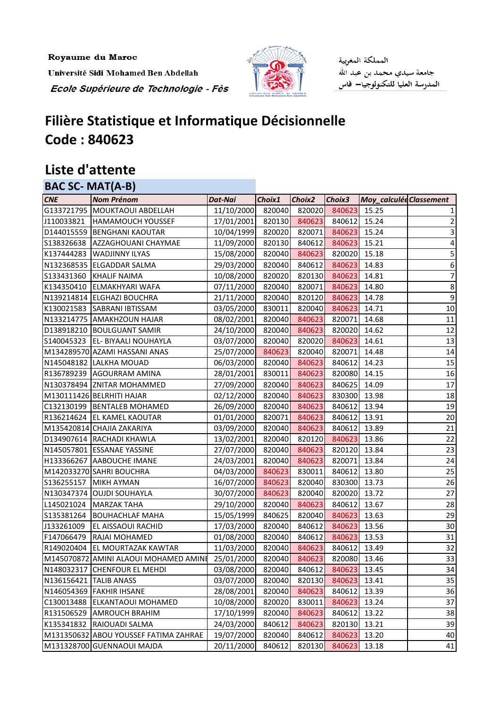Royaume du Maroc

Université Sidi Mohamed Ben Abdellah Ecole Supérieure de Technologie - Fès



المملكة المغربية جامعة سيدي محمد بن عبد الله<br>المدرسة العليا للتكنولوجيا— فاس

## **Filière Statistique et Informatique Décisionnelle Code : 840623**

## **Liste d'attente BAC SC- MAT(A-B)**

| BAC SC- MAI(A-B) |                                       |                   |        |        |              |                                |                  |
|------------------|---------------------------------------|-------------------|--------|--------|--------------|--------------------------------|------------------|
| <b>CNE</b>       | <b>Nom Prénom</b>                     | Dat-Nai           | Choix1 | Choix2 | Choix3       | <b>Moy_calculée Classement</b> |                  |
|                  | G133721795   MOUKTAOUI ABDELLAH       | 11/10/2000        | 820040 | 820020 | 840623       | 15.25                          |                  |
| J110033821       | <b>HAMAMOUCH YOUSSEF</b>              | 17/01/2001        | 820130 | 840623 | 840612       | 15.24                          |                  |
| D144015559       | <b>BENGHANI KAOUTAR</b>               | 10/04/1999        | 820020 | 820071 | 840623       | 15.24                          | 3                |
| S138326638       | AZZAGHOUANI CHAYMAE                   | 11/09/2000        | 820130 | 840612 | 840623       | 15.21                          | 4                |
|                  | K137444283   WADJINNY ILYAS           | 15/08/2000        | 820040 | 840623 | 820020       | 15.18                          | 5                |
|                  | N132368535 ELGADDAR SALMA             | 29/03/2000        | 820040 | 840612 | 840623       | 14.83                          | $\boldsymbol{6}$ |
| S133431360       | <b>KHALIF NAIMA</b>                   | 10/08/2000        | 820020 | 820130 | 840623       | 14.81                          | 7                |
| K134350410       | ELMAKHYARI WAFA                       | 07/11/2000        | 820040 | 820071 | 840623       | 14.80                          | 8                |
|                  | N139214814 ELGHAZI BOUCHRA            | 21/11/2000        | 820040 | 820120 | 840623       | 14.78                          | 9                |
|                  | K130021583 SABRANI IBTISSAM           | 03/05/2000        | 830011 | 820040 | 840623       | 14.71                          | 10               |
|                  | N133214775 AMAKHZOUN HAJAR            | 08/02/2001        | 820040 | 840623 | 820071       | 14.68                          | 11               |
|                  | D138918210   BOULGUANT SAMIR          | 24/10/2000        | 820040 | 840623 | 820020       | 14.62                          | 12               |
| S140045323       | <b>EL- BIYAALI NOUHAYLA</b>           | 03/07/2000        | 820040 | 820020 | 840623       | 14.61                          | 13               |
|                  | M134289570 AZAMI HASSANI ANAS         | 25/07/2000        | 840623 | 820040 | 820071       | 14.48                          | 14               |
|                  | N145048182 LALKHA MOUAD               | 06/03/2000        | 820040 | 840623 | 840612       | 14.23                          | 15               |
|                  | R136789239 AGOURRAM AMINA             | 28/01/2001        | 830011 | 840623 | 820080       | 14.15                          | 16               |
|                  | N130378494 ZNITAR MOHAMMED            | 27/09/2000        | 820040 | 840623 | 840625       | 14.09                          | 17               |
|                  | M130111426 BELRHITI HAJAR             | 02/12/2000        | 820040 | 840623 | 830300       | 13.98                          | 18               |
|                  | C132130199   BENTALEB MOHAMED         | 26/09/2000        | 820040 | 840623 | 840612       | 13.94                          | 19               |
|                  | R136214624 EL KAMEL KAOUTAR           | 01/01/2000        | 820071 | 840623 | 840612       | 13.91                          | 20               |
|                  | M135420814 CHAJIA ZAKARIYA            | 03/09/2000        | 820040 | 840623 | 840612       | 13.89                          | 21               |
|                  | D134907614 RACHADI KHAWLA             | 13/02/2001        | 820040 | 820120 | 840623       | 13.86                          | 22               |
|                  | N145057801 ESSANAE YASSINE            | 27/07/2000        | 820040 | 840623 | 820120       | 13.84                          | 23               |
|                  | H133366267 AABOUCHE IMANE             | 24/03/2001        | 820040 | 840623 | 820071       | 13.84                          | 24               |
|                  | M142033270 SAHRI BOUCHRA              | 04/03/2000        | 840623 | 830011 | 840612       | 13.80                          | 25               |
| S136255157       | MIKH AYMAN                            | 16/07/2000        | 840623 | 820040 | 830300       | 13.73                          | 26               |
|                  | N130347374 OUJDI SOUHAYLA             | 30/07/2000        | 840623 | 820040 | 820020       | 13.72                          | 27               |
| L145021024       | <b>MARZAK TAHA</b>                    | 29/10/2000        | 820040 | 840623 | 840612       | 13.67                          | 28               |
| S135381264       | <b>BOUHACHLAF MAHA</b>                | 15/05/1999        | 840625 | 820040 | 840623 13.63 |                                | 29               |
| J133261009       | <b>EL AISSAOUI RACHID</b>             | 17/03/2000 820040 |        | 840612 | 840623 13.56 |                                | 30               |
| F147066479       | RAJAI MOHAMED                         | 01/08/2000        | 820040 | 840612 | 840623       | 13.53                          | 31               |
| R149020404       | <b>EL MOURTAZAK KAWTAR</b>            | 11/03/2000        | 820040 | 840623 | 840612       | 13.49                          | 32               |
|                  | M145070872 AMINI ALAOUI MOHAMED AMINI | 25/01/2000        | 820040 | 840623 | 820080       | 13.46                          | 33               |
|                  | N148032317 CHENFOUR EL MEHDI          | 03/08/2000        | 820040 | 840612 | 840623       | 13.45                          | 34               |
| N136156421       | <b>TALIB ANASS</b>                    | 03/07/2000        | 820040 | 820130 | 840623       | 13.41                          | 35               |
| N146054369       | <b>FAKHIR IHSANE</b>                  | 28/08/2001        | 820040 | 840623 | 840612       | 13.39                          | 36               |
| C130013488       | <b>ELKANTAOUI MOHAMED</b>             | 10/08/2000        | 820020 | 830011 | 840623       | 13.24                          | 37               |
| R131506529       | <b>AMROUCH BRAHIM</b>                 | 17/10/1999        | 820040 | 840623 | 840612       | 13.22                          | 38               |
| K135341832       | <b>RAIOUADI SALMA</b>                 | 24/03/2000        | 840612 | 840623 | 820130       | 13.21                          | 39               |
|                  | M131350632 ABOU YOUSSEF FATIMA ZAHRAE | 19/07/2000        | 820040 | 840612 | 840623       | 13.20                          | 40               |
|                  | M131328700 GUENNAOUI MAJDA            | 20/11/2000        | 840612 | 820130 | 840623       | 13.18                          | 41               |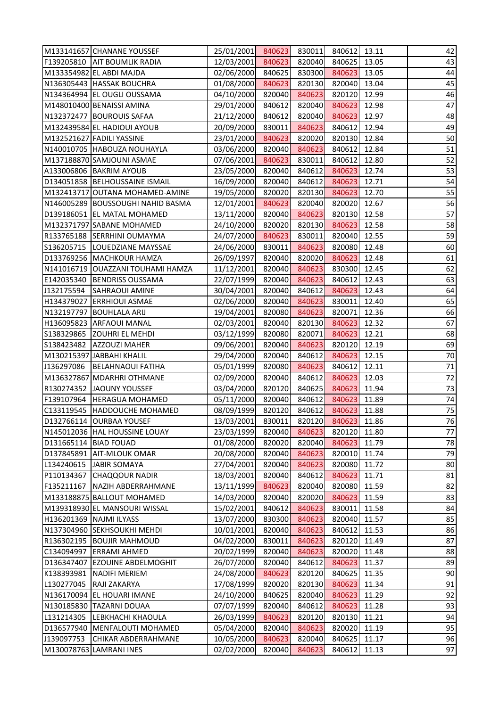|                        | M133141657 CHANANE YOUSSEF        | 25/01/2001 | 840623 | 830011 | 840612 13.11 |       | 42 |
|------------------------|-----------------------------------|------------|--------|--------|--------------|-------|----|
|                        | F139205810 AIT BOUMLIK RADIA      | 12/03/2001 | 840623 | 820040 | 840625 13.05 |       | 43 |
|                        | M133354982 EL ABDI MAJDA          | 02/06/2000 | 840625 | 830300 | 840623       | 13.05 | 44 |
|                        | N136305443 HASSAK BOUCHRA         | 01/08/2000 | 840623 | 820130 | 820040 13.04 |       | 45 |
|                        | N134364994 EL OUGLI OUSSAMA       | 04/10/2000 | 820040 | 840623 | 820120       | 12.99 | 46 |
|                        | M148010400 BENAISSI AMINA         | 29/01/2000 | 840612 | 820040 | 840623       | 12.98 | 47 |
|                        | N132372477 BOUROUIS SAFAA         | 21/12/2000 | 840612 | 820040 | 840623       | 12.97 | 48 |
|                        | M132439584 EL HADIOUI AYOUB       | 20/09/2000 | 830011 | 840623 | 840612       | 12.94 | 49 |
|                        | M132521627 FADILI YASSINE         | 23/01/2000 | 840623 | 820020 | 820130       | 12.84 | 50 |
|                        | N140010705 HABOUZA NOUHAYLA       | 03/06/2000 | 820040 | 840623 | 840612       | 12.84 | 51 |
|                        | M137188870 SAMJOUNI ASMAE         | 07/06/2001 | 840623 | 830011 | 840612       | 12.80 | 52 |
|                        | A133006806 BAKRIM AYOUB           | 23/05/2000 | 820040 | 840612 | 840623       | 12.74 | 53 |
|                        | D134051858  BELHOUSSAINE ISMAIL   | 16/09/2000 | 820040 | 840612 | 840623       | 12.71 | 54 |
|                        | M132413717 OUTANA MOHAMED-AMINE   | 19/05/2000 | 820020 | 820130 | 840623       | 12.70 | 55 |
|                        | N146005289 BOUSSOUGHI NAHID BASMA | 12/01/2001 | 840623 | 820040 | 820020       | 12.67 | 56 |
|                        | D139186051 EL MATAL MOHAMED       | 13/11/2000 | 820040 | 840623 | 820130       | 12.58 | 57 |
|                        | M132371797 SABANE MOHAMED         | 24/10/2000 | 820020 | 820130 | 840623       | 12.58 | 58 |
| R133765188             | <b>SERRHINI OUMAYMA</b>           | 24/07/2000 | 840623 | 830011 | 820040       | 12.55 | 59 |
| S136205715             | LOUEDZIANE MAYSSAE                | 24/06/2000 | 830011 | 840623 | 820080       | 12.48 | 60 |
|                        | D133769256   MACHKOUR HAMZA       | 26/09/1997 | 820040 | 820020 | 840623       | 12.48 | 61 |
|                        | N141016719 OUAZZANI TOUHAMI HAMZA | 11/12/2001 | 820040 | 840623 | 830300       | 12.45 | 62 |
| E142035340             | <b>BENDRISS OUSSAMA</b>           | 22/07/1999 | 820040 | 840623 | 840612       | 12.43 | 63 |
| J132175594             | <b>SAHRAOUI AMINE</b>             | 30/04/2001 | 820040 | 840612 | 840623       | 12.43 | 64 |
| H134379027             | <b>ERRHIOUI ASMAE</b>             | 02/06/2000 | 820040 | 840623 | 830011       | 12.40 | 65 |
| N132197797             | <b>BOUHLALA ARIJ</b>              | 19/04/2001 | 820080 | 840623 | 820071       | 12.36 | 66 |
| H136095823             | <b>ARFAOUI MANAL</b>              | 02/03/2001 | 820040 | 820130 | 840623       | 12.32 | 67 |
| S138329865             | <b>ZOUHRI EL MEHDI</b>            | 03/12/1999 | 820080 | 820071 | 840623       | 12.21 | 68 |
| S138423482             | <b>AZZOUZI MAHER</b>              | 09/06/2001 | 820040 | 840623 | 820120       | 12.19 | 69 |
|                        | M130215397 JABBAHI KHALIL         | 29/04/2000 | 820040 | 840612 | 840623       | 12.15 | 70 |
| J136297086             | <b>BELAHNAOUI FATIHA</b>          | 05/01/1999 | 820080 | 840623 | 840612       | 12.11 | 71 |
|                        | M136327867 MDARHRI OTHMANE        | 02/09/2000 | 820040 | 840612 | 840623       | 12.03 | 72 |
|                        | R130274352 JJAOUNY YOUSSEF        | 03/04/2000 | 820120 | 840625 | 840623 11.94 |       | 73 |
| F139107964             | <b>HERAGUA MOHAMED</b>            | 05/11/2000 | 820040 | 840612 | 840623       | 11.89 | 74 |
| C133119545             | <b>HADDOUCHE MOHAMED</b>          | 08/09/1999 | 820120 | 840612 | 840623       | 11.88 | 75 |
| D132766114             | <b>OURBAA YOUSEF</b>              | 13/03/2001 | 830011 | 820120 | 840623       | 11.86 | 76 |
| N145012036             | <b>HAL HOUSSINE LOUAY</b>         | 23/03/1999 | 820040 | 840623 | 820120       | 11.80 | 77 |
| D131665114  BIAD FOUAD |                                   | 01/08/2000 | 820020 | 820040 | 840623       | 11.79 | 78 |
| D137845891             | <b>AIT-MLOUK OMAR</b>             | 20/08/2000 | 820040 | 840623 | 820010       | 11.74 | 79 |
| L134240615             | JABIR SOMAYA                      | 27/04/2001 | 820040 | 840623 | 820080       | 11.72 | 80 |
| P110134367             | <b>CHAQQOUR NADIR</b>             | 18/03/2001 | 820040 | 840612 | 840623       | 11.71 | 81 |
| F135211167             | NAZIH ABDERRAHMANE                | 13/11/1999 | 840623 | 820040 | 820080       | 11.59 | 82 |
|                        | M133188875 BALLOUT MOHAMED        | 14/03/2000 | 820040 | 820020 | 840623       | 11.59 | 83 |
|                        | M139318930 EL MANSOURI WISSAL     | 15/02/2001 | 840612 | 840623 | 830011       | 11.58 | 84 |
|                        | H136201369 NAJMI ILYASS           | 13/07/2000 | 830300 | 840623 | 820040       | 11.57 | 85 |
| N137304960             | <b>SEKHSOUKHI MEHDI</b>           | 10/01/2001 | 820040 | 840623 | 840612       | 11.53 | 86 |
| R136302195             | <b>BOUJIR MAHMOUD</b>             | 04/02/2000 | 830011 | 840623 | 820120       | 11.49 | 87 |
| C134094997             | <b>ERRAMI AHMED</b>               | 20/02/1999 | 820040 | 840623 | 820020       | 11.48 | 88 |
| D136347407             | <b>EZOUINE ABDELMOGHIT</b>        | 26/07/2000 | 820040 | 840612 | 840623       | 11.37 | 89 |
| K138393981             | <b>NADIFI MERIEM</b>              | 24/08/2000 | 840623 | 820120 | 840625       | 11.35 | 90 |
| L130277045             | <b>RAJI ZAKARYA</b>               | 17/08/1999 | 820020 | 820130 | 840623       | 11.34 | 91 |
| N136170094             | <b>EL HOUARI IMANE</b>            | 24/10/2000 | 840625 | 820040 | 840623       | 11.29 | 92 |
| N130185830             | <b>TAZARNI DOUAA</b>              | 07/07/1999 | 820040 | 840612 | 840623       | 11.28 | 93 |
| L131214305             | LEBKHACHI KHAOULA                 | 26/03/1999 | 840623 | 820120 | 820130       | 11.21 | 94 |
| D136577940             | MENFALOUTI MOHAMED                | 05/04/2000 | 820040 | 840623 | 820020       | 11.19 | 95 |
| J139097753             | CHIKAR ABDERRAHMANE               | 10/05/2000 | 840623 | 820040 | 840625       | 11.17 | 96 |
|                        | M130078763 LAMRANI INES           | 02/02/2000 | 820040 | 840623 | 840612       | 11.13 | 97 |
|                        |                                   |            |        |        |              |       |    |